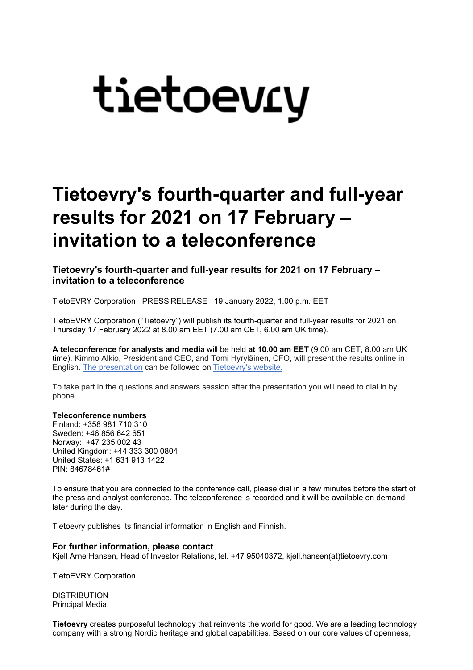## tietoevry

## **Tietoevry's fourth-quarter and full-year results for 2021 on 17 February – invitation to a teleconference**

**Tietoevry's fourth-quarter and full-year results for 2021 on 17 February – invitation to a teleconference**

TietoEVRY Corporation PRESS RELEASE 19 January 2022, 1.00 p.m. EET

TietoEVRY Corporation ("Tietoevry") will publish its fourth-quarter and full-year results for 2021 on Thursday 17 February 2022 at 8.00 am EET (7.00 am CET, 6.00 am UK time).

**A teleconference for analysts and media** will be held **at 10.00 am EET** (9.00 am CET, 8.00 am UK time). Kimmo Alkio, President and CEO, and Tomi Hyryläinen, CFO, will present the results online in English. [The presentation](https://tieto.videosync.fi/2021-q4-results) can be followed on [Tietoevry's website.](http://www.tietoevry.com/investors)

To take part in the questions and answers session after the presentation you will need to dial in by phone.

## **Teleconference numbers**

Finland: +358 981 710 310 Sweden: +46 856 642 651 Norway: +47 235 002 43 United Kingdom: +44 333 300 0804 United States: +1 631 913 1422 PIN: 84678461#

To ensure that you are connected to the conference call, please dial in a few minutes before the start of the press and analyst conference. The teleconference is recorded and it will be available on demand later during the day.

Tietoevry publishes its financial information in English and Finnish.

## **For further information, please contact**

Kjell Arne Hansen, Head of Investor Relations, tel. +47 95040372, kjell.hansen(at)tietoevry.com

TietoEVRY Corporation

**DISTRIBUTION** Principal Media

**Tietoevry** creates purposeful technology that reinvents the world for good. We are a leading technology company with a strong Nordic heritage and global capabilities. Based on our core values of openness,